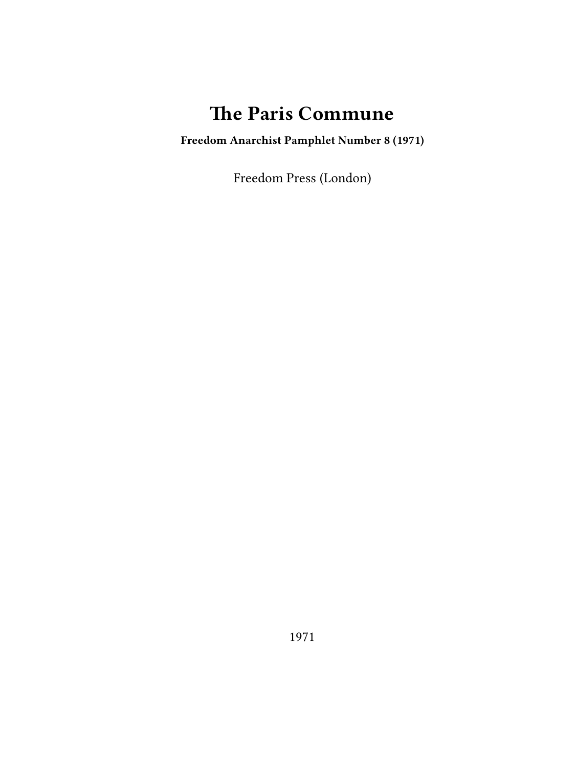## **The Paris Commune**

**Freedom Anarchist Pamphlet Number 8 (1971)**

Freedom Press (London)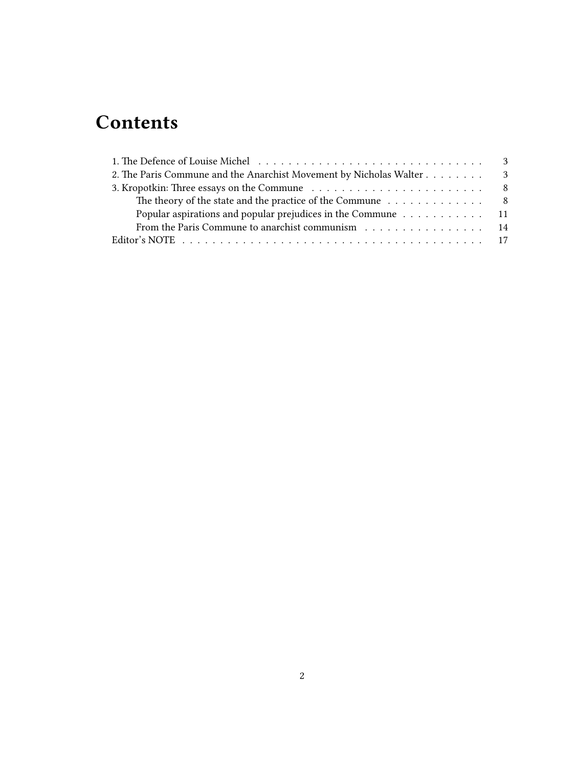# **Contents**

| 2. The Paris Commune and the Anarchist Movement by Nicholas Walter 3 |  |
|----------------------------------------------------------------------|--|
|                                                                      |  |
| The theory of the state and the practice of the Commune 8            |  |
| Popular aspirations and popular prejudices in the Commune 11         |  |
| From the Paris Commune to anarchist communism 14                     |  |
|                                                                      |  |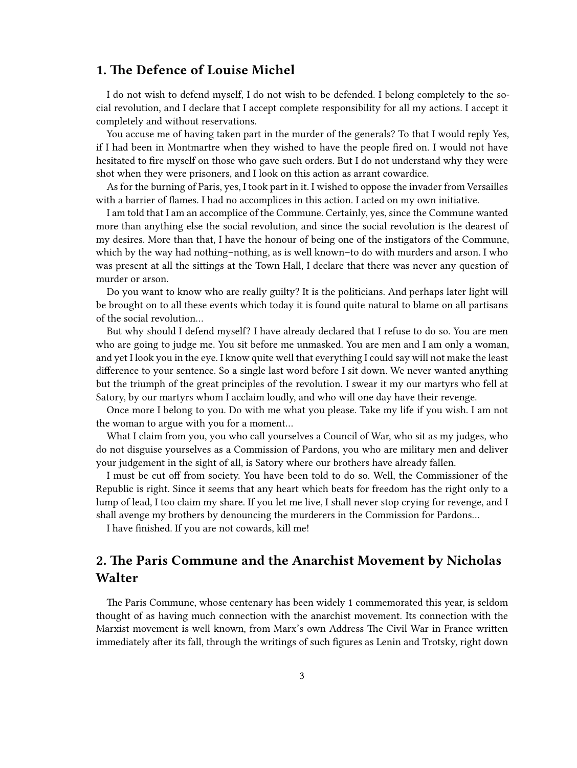## <span id="page-2-0"></span>**1. The Defence of Louise Michel**

I do not wish to defend myself, I do not wish to be defended. I belong completely to the social revolution, and I declare that I accept complete responsibility for all my actions. I accept it completely and without reservations.

You accuse me of having taken part in the murder of the generals? To that I would reply Yes, if I had been in Montmartre when they wished to have the people fired on. I would not have hesitated to fire myself on those who gave such orders. But I do not understand why they were shot when they were prisoners, and I look on this action as arrant cowardice.

As for the burning of Paris, yes, I took part in it. I wished to oppose the invader from Versailles with a barrier of flames. I had no accomplices in this action. I acted on my own initiative.

I am told that I am an accomplice of the Commune. Certainly, yes, since the Commune wanted more than anything else the social revolution, and since the social revolution is the dearest of my desires. More than that, I have the honour of being one of the instigators of the Commune, which by the way had nothing–nothing, as is well known–to do with murders and arson. I who was present at all the sittings at the Town Hall, I declare that there was never any question of murder or arson.

Do you want to know who are really guilty? It is the politicians. And perhaps later light will be brought on to all these events which today it is found quite natural to blame on all partisans of the social revolution…

But why should I defend myself? I have already declared that I refuse to do so. You are men who are going to judge me. You sit before me unmasked. You are men and I am only a woman, and yet I look you in the eye. I know quite well that everything I could say will not make the least difference to your sentence. So a single last word before I sit down. We never wanted anything but the triumph of the great principles of the revolution. I swear it my our martyrs who fell at Satory, by our martyrs whom I acclaim loudly, and who will one day have their revenge.

Once more I belong to you. Do with me what you please. Take my life if you wish. I am not the woman to argue with you for a moment…

What I claim from you, you who call yourselves a Council of War, who sit as my judges, who do not disguise yourselves as a Commission of Pardons, you who are military men and deliver your judgement in the sight of all, is Satory where our brothers have already fallen.

I must be cut off from society. You have been told to do so. Well, the Commissioner of the Republic is right. Since it seems that any heart which beats for freedom has the right only to a lump of lead, I too claim my share. If you let me live, I shall never stop crying for revenge, and I shall avenge my brothers by denouncing the murderers in the Commission for Pardons…

I have finished. If you are not cowards, kill me!

## <span id="page-2-1"></span>**2. The Paris Commune and the Anarchist Movement by Nicholas Walter**

The Paris Commune, whose centenary has been widely 1 commemorated this year, is seldom thought of as having much connection with the anarchist movement. Its connection with the Marxist movement is well known, from Marx's own Address The Civil War in France written immediately after its fall, through the writings of such figures as Lenin and Trotsky, right down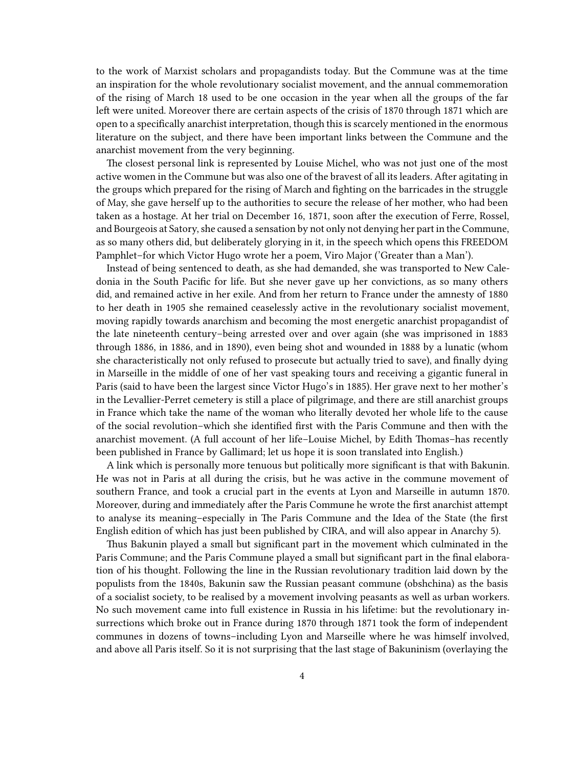to the work of Marxist scholars and propagandists today. But the Commune was at the time an inspiration for the whole revolutionary socialist movement, and the annual commemoration of the rising of March 18 used to be one occasion in the year when all the groups of the far left were united. Moreover there are certain aspects of the crisis of 1870 through 1871 which are open to a specifically anarchist interpretation, though this is scarcely mentioned in the enormous literature on the subject, and there have been important links between the Commune and the anarchist movement from the very beginning.

The closest personal link is represented by Louise Michel, who was not just one of the most active women in the Commune but was also one of the bravest of all its leaders. After agitating in the groups which prepared for the rising of March and fighting on the barricades in the struggle of May, she gave herself up to the authorities to secure the release of her mother, who had been taken as a hostage. At her trial on December 16, 1871, soon after the execution of Ferre, Rossel, and Bourgeois at Satory, she caused a sensation by not only not denying her part in the Commune, as so many others did, but deliberately glorying in it, in the speech which opens this FREEDOM Pamphlet–for which Victor Hugo wrote her a poem, Viro Major ('Greater than a Man').

Instead of being sentenced to death, as she had demanded, she was transported to New Caledonia in the South Pacific for life. But she never gave up her convictions, as so many others did, and remained active in her exile. And from her return to France under the amnesty of 1880 to her death in 1905 she remained ceaselessly active in the revolutionary socialist movement, moving rapidly towards anarchism and becoming the most energetic anarchist propagandist of the late nineteenth century–being arrested over and over again (she was imprisoned in 1883 through 1886, in 1886, and in 1890), even being shot and wounded in 1888 by a lunatic (whom she characteristically not only refused to prosecute but actually tried to save), and finally dying in Marseille in the middle of one of her vast speaking tours and receiving a gigantic funeral in Paris (said to have been the largest since Victor Hugo's in 1885). Her grave next to her mother's in the Levallier-Perret cemetery is still a place of pilgrimage, and there are still anarchist groups in France which take the name of the woman who literally devoted her whole life to the cause of the social revolution–which she identified first with the Paris Commune and then with the anarchist movement. (A full account of her life–Louise Michel, by Edith Thomas–has recently been published in France by Gallimard; let us hope it is soon translated into English.)

A link which is personally more tenuous but politically more significant is that with Bakunin. He was not in Paris at all during the crisis, but he was active in the commune movement of southern France, and took a crucial part in the events at Lyon and Marseille in autumn 1870. Moreover, during and immediately after the Paris Commune he wrote the first anarchist attempt to analyse its meaning–especially in The Paris Commune and the Idea of the State (the first English edition of which has just been published by CIRA, and will also appear in Anarchy 5).

Thus Bakunin played a small but significant part in the movement which culminated in the Paris Commune; and the Paris Commune played a small but significant part in the final elaboration of his thought. Following the line in the Russian revolutionary tradition laid down by the populists from the 1840s, Bakunin saw the Russian peasant commune (obshchina) as the basis of a socialist society, to be realised by a movement involving peasants as well as urban workers. No such movement came into full existence in Russia in his lifetime: but the revolutionary insurrections which broke out in France during 1870 through 1871 took the form of independent communes in dozens of towns–including Lyon and Marseille where he was himself involved, and above all Paris itself. So it is not surprising that the last stage of Bakuninism (overlaying the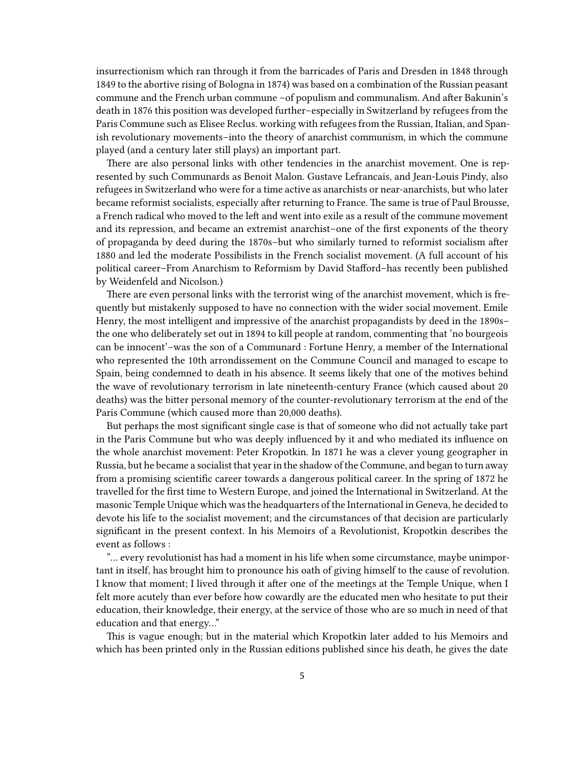insurrectionism which ran through it from the barricades of Paris and Dresden in 1848 through 1849 to the abortive rising of Bologna in 1874) was based on a combination of the Russian peasant commune and the French urban commune –of populism and communalism. And after Bakunin's death in 1876 this position was developed further–especially in Switzerland by refugees from the Paris Commune such as Elisee Reclus. working with refugees from the Russian, Italian, and Spanish revolutionary movements–into the theory of anarchist communism, in which the commune played (and a century later still plays) an important part.

There are also personal links with other tendencies in the anarchist movement. One is represented by such Communards as Benoit Malon. Gustave Lefrancais, and Jean-Louis Pindy, also refugees in Switzerland who were for a time active as anarchists or near-anarchists, but who later became reformist socialists, especially after returning to France. The same is true of Paul Brousse, a French radical who moved to the left and went into exile as a result of the commune movement and its repression, and became an extremist anarchist–one of the first exponents of the theory of propaganda by deed during the 1870s–but who similarly turned to reformist socialism after 1880 and led the moderate Possibilists in the French socialist movement. (A full account of his political career–From Anarchism to Reformism by David Stafford–has recently been published by Weidenfeld and Nicolson.)

There are even personal links with the terrorist wing of the anarchist movement, which is frequently but mistakenly supposed to have no connection with the wider social movement. Emile Henry, the most intelligent and impressive of the anarchist propagandists by deed in the 1890s– the one who deliberately set out in 1894 to kill people at random, commenting that 'no bourgeois can be innocent'–was the son of a Communard : Fortune Henry, a member of the International who represented the 10th arrondissement on the Commune Council and managed to escape to Spain, being condemned to death in his absence. It seems likely that one of the motives behind the wave of revolutionary terrorism in late nineteenth-century France (which caused about 20 deaths) was the bitter personal memory of the counter-revolutionary terrorism at the end of the Paris Commune (which caused more than 20,000 deaths).

But perhaps the most significant single case is that of someone who did not actually take part in the Paris Commune but who was deeply influenced by it and who mediated its influence on the whole anarchist movement: Peter Kropotkin. In 1871 he was a clever young geographer in Russia, but he became a socialist that year in the shadow of the Commune, and began to turn away from a promising scientific career towards a dangerous political career. In the spring of 1872 he travelled for the first time to Western Europe, and joined the International in Switzerland. At the masonic Temple Unique which was the headquarters of the International in Geneva, he decided to devote his life to the socialist movement; and the circumstances of that decision are particularly significant in the present context. In his Memoirs of a Revolutionist, Kropotkin describes the event as follows :

"… every revolutionist has had a moment in his life when some circumstance, maybe unimportant in itself, has brought him to pronounce his oath of giving himself to the cause of revolution. I know that moment; I lived through it after one of the meetings at the Temple Unique, when I felt more acutely than ever before how cowardly are the educated men who hesitate to put their education, their knowledge, their energy, at the service of those who are so much in need of that education and that energy…"

This is vague enough; but in the material which Kropotkin later added to his Memoirs and which has been printed only in the Russian editions published since his death, he gives the date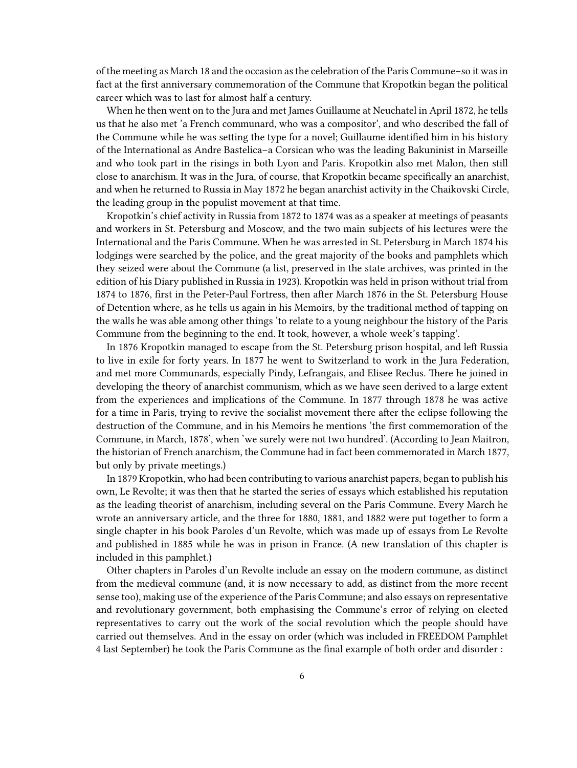of the meeting as March 18 and the occasion as the celebration of the Paris Commune–so it was in fact at the first anniversary commemoration of the Commune that Kropotkin began the political career which was to last for almost half a century.

When he then went on to the Jura and met James Guillaume at Neuchatel in April 1872, he tells us that he also met 'a French communard, who was a compositor', and who described the fall of the Commune while he was setting the type for a novel; Guillaume identified him in his history of the International as Andre Bastelica–a Corsican who was the leading Bakuninist in Marseille and who took part in the risings in both Lyon and Paris. Kropotkin also met Malon, then still close to anarchism. It was in the Jura, of course, that Kropotkin became specifically an anarchist, and when he returned to Russia in May 1872 he began anarchist activity in the Chaikovski Circle, the leading group in the populist movement at that time.

Kropotkin's chief activity in Russia from 1872 to 1874 was as a speaker at meetings of peasants and workers in St. Petersburg and Moscow, and the two main subjects of his lectures were the International and the Paris Commune. When he was arrested in St. Petersburg in March 1874 his lodgings were searched by the police, and the great majority of the books and pamphlets which they seized were about the Commune (a list, preserved in the state archives, was printed in the edition of his Diary published in Russia in 1923). Kropotkin was held in prison without trial from 1874 to 1876, first in the Peter-Paul Fortress, then after March 1876 in the St. Petersburg House of Detention where, as he tells us again in his Memoirs, by the traditional method of tapping on the walls he was able among other things 'to relate to a young neighbour the history of the Paris Commune from the beginning to the end. It took, however, a whole week's tapping'.

In 1876 Kropotkin managed to escape from the St. Petersburg prison hospital, and left Russia to live in exile for forty years. In 1877 he went to Switzerland to work in the Jura Federation, and met more Communards, especially Pindy, Lefrangais, and Elisee Reclus. There he joined in developing the theory of anarchist communism, which as we have seen derived to a large extent from the experiences and implications of the Commune. In 1877 through 1878 he was active for a time in Paris, trying to revive the socialist movement there after the eclipse following the destruction of the Commune, and in his Memoirs he mentions 'the first commemoration of the Commune, in March, 1878', when 'we surely were not two hundred'. (According to Jean Maitron, the historian of French anarchism, the Commune had in fact been commemorated in March 1877, but only by private meetings.)

In 1879 Kropotkin, who had been contributing to various anarchist papers, began to publish his own, Le Revolte; it was then that he started the series of essays which established his reputation as the leading theorist of anarchism, including several on the Paris Commune. Every March he wrote an anniversary article, and the three for 1880, 1881, and 1882 were put together to form a single chapter in his book Paroles d'un Revolte, which was made up of essays from Le Revolte and published in 1885 while he was in prison in France. (A new translation of this chapter is included in this pamphlet.)

Other chapters in Paroles d'un Revolte include an essay on the modern commune, as distinct from the medieval commune (and, it is now necessary to add, as distinct from the more recent sense too), making use of the experience of the Paris Commune; and also essays on representative and revolutionary government, both emphasising the Commune's error of relying on elected representatives to carry out the work of the social revolution which the people should have carried out themselves. And in the essay on order (which was included in FREEDOM Pamphlet 4 last September) he took the Paris Commune as the final example of both order and disorder :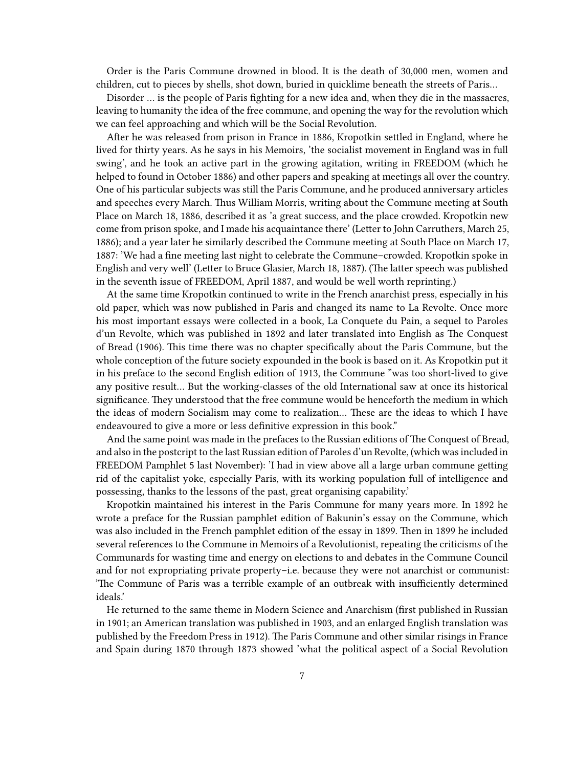Order is the Paris Commune drowned in blood. It is the death of 30,000 men, women and children, cut to pieces by shells, shot down, buried in quicklime beneath the streets of Paris…

Disorder … is the people of Paris fighting for a new idea and, when they die in the massacres, leaving to humanity the idea of the free commune, and opening the way for the revolution which we can feel approaching and which will be the Social Revolution.

After he was released from prison in France in 1886, Kropotkin settled in England, where he lived for thirty years. As he says in his Memoirs, 'the socialist movement in England was in full swing', and he took an active part in the growing agitation, writing in FREEDOM (which he helped to found in October 1886) and other papers and speaking at meetings all over the country. One of his particular subjects was still the Paris Commune, and he produced anniversary articles and speeches every March. Thus William Morris, writing about the Commune meeting at South Place on March 18, 1886, described it as 'a great success, and the place crowded. Kropotkin new come from prison spoke, and I made his acquaintance there' (Letter to John Carruthers, March 25, 1886); and a year later he similarly described the Commune meeting at South Place on March 17, 1887: 'We had a fine meeting last night to celebrate the Commune–crowded. Kropotkin spoke in English and very well' (Letter to Bruce Glasier, March 18, 1887). (The latter speech was published in the seventh issue of FREEDOM, April 1887, and would be well worth reprinting.)

At the same time Kropotkin continued to write in the French anarchist press, especially in his old paper, which was now published in Paris and changed its name to La Revolte. Once more his most important essays were collected in a book, La Conquete du Pain, a sequel to Paroles d'un Revolte, which was published in 1892 and later translated into English as The Conquest of Bread (1906). This time there was no chapter specifically about the Paris Commune, but the whole conception of the future society expounded in the book is based on it. As Kropotkin put it in his preface to the second English edition of 1913, the Commune "was too short-lived to give any positive result… But the working-classes of the old International saw at once its historical significance. They understood that the free commune would be henceforth the medium in which the ideas of modern Socialism may come to realization… These are the ideas to which I have endeavoured to give a more or less definitive expression in this book."

And the same point was made in the prefaces to the Russian editions of The Conquest of Bread, and also in the postcript to the last Russian edition of Paroles d'un Revolte, (which was included in FREEDOM Pamphlet 5 last November): 'I had in view above all a large urban commune getting rid of the capitalist yoke, especially Paris, with its working population full of intelligence and possessing, thanks to the lessons of the past, great organising capability.'

Kropotkin maintained his interest in the Paris Commune for many years more. In 1892 he wrote a preface for the Russian pamphlet edition of Bakunin's essay on the Commune, which was also included in the French pamphlet edition of the essay in 1899. Then in 1899 he included several references to the Commune in Memoirs of a Revolutionist, repeating the criticisms of the Communards for wasting time and energy on elections to and debates in the Commune Council and for not expropriating private property–i.e. because they were not anarchist or communist: 'The Commune of Paris was a terrible example of an outbreak with insufficiently determined ideals.'

He returned to the same theme in Modern Science and Anarchism (first published in Russian in 1901; an American translation was published in 1903, and an enlarged English translation was published by the Freedom Press in 1912). The Paris Commune and other similar risings in France and Spain during 1870 through 1873 showed 'what the political aspect of a Social Revolution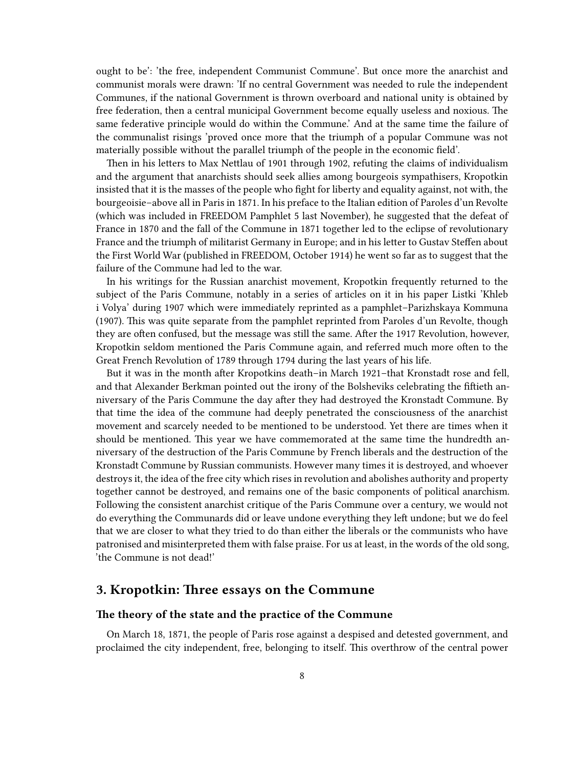ought to be': 'the free, independent Communist Commune'. But once more the anarchist and communist morals were drawn: 'If no central Government was needed to rule the independent Communes, if the national Government is thrown overboard and national unity is obtained by free federation, then a central municipal Government become equally useless and noxious. The same federative principle would do within the Commune.' And at the same time the failure of the communalist risings 'proved once more that the triumph of a popular Commune was not materially possible without the parallel triumph of the people in the economic field'.

Then in his letters to Max Nettlau of 1901 through 1902, refuting the claims of individualism and the argument that anarchists should seek allies among bourgeois sympathisers, Kropotkin insisted that it is the masses of the people who fight for liberty and equality against, not with, the bourgeoisie–above all in Paris in 1871. In his preface to the Italian edition of Paroles d'un Revolte (which was included in FREEDOM Pamphlet 5 last November), he suggested that the defeat of France in 1870 and the fall of the Commune in 1871 together led to the eclipse of revolutionary France and the triumph of militarist Germany in Europe; and in his letter to Gustav Steffen about the First World War (published in FREEDOM, October 1914) he went so far as to suggest that the failure of the Commune had led to the war.

In his writings for the Russian anarchist movement, Kropotkin frequently returned to the subject of the Paris Commune, notably in a series of articles on it in his paper Listki 'Khleb i Volya' during 1907 which were immediately reprinted as a pamphlet–Parizhskaya Kommuna (1907). This was quite separate from the pamphlet reprinted from Paroles d'un Revolte, though they are often confused, but the message was still the same. After the 1917 Revolution, however, Kropotkin seldom mentioned the Paris Commune again, and referred much more often to the Great French Revolution of 1789 through 1794 during the last years of his life.

But it was in the month after Kropotkins death–in March 1921–that Kronstadt rose and fell, and that Alexander Berkman pointed out the irony of the Bolsheviks celebrating the fiftieth anniversary of the Paris Commune the day after they had destroyed the Kronstadt Commune. By that time the idea of the commune had deeply penetrated the consciousness of the anarchist movement and scarcely needed to be mentioned to be understood. Yet there are times when it should be mentioned. This year we have commemorated at the same time the hundredth anniversary of the destruction of the Paris Commune by French liberals and the destruction of the Kronstadt Commune by Russian communists. However many times it is destroyed, and whoever destroys it, the idea of the free city which rises in revolution and abolishes authority and property together cannot be destroyed, and remains one of the basic components of political anarchism. Following the consistent anarchist critique of the Paris Commune over a century, we would not do everything the Communards did or leave undone everything they left undone; but we do feel that we are closer to what they tried to do than either the liberals or the communists who have patronised and misinterpreted them with false praise. For us at least, in the words of the old song, 'the Commune is not dead!'

### <span id="page-7-0"></span>**3. Kropotkin: Three essays on the Commune**

#### <span id="page-7-1"></span>**The theory of the state and the practice of the Commune**

On March 18, 1871, the people of Paris rose against a despised and detested government, and proclaimed the city independent, free, belonging to itself. This overthrow of the central power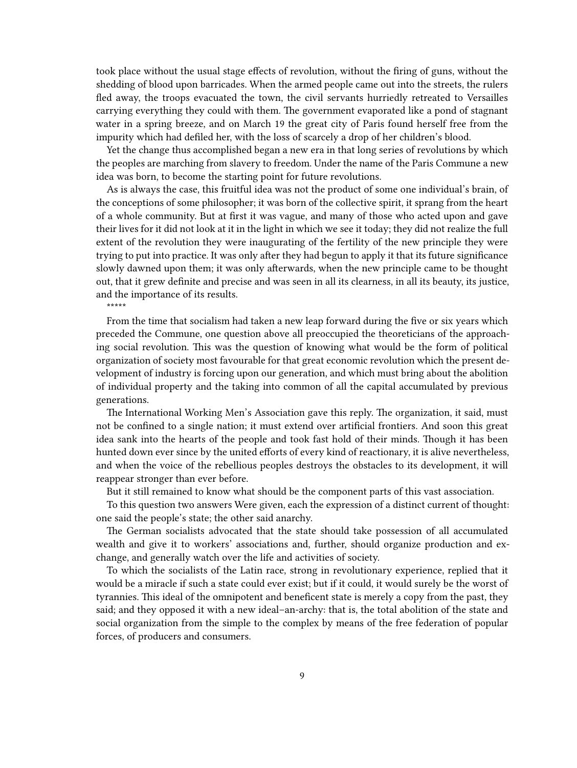took place without the usual stage effects of revolution, without the firing of guns, without the shedding of blood upon barricades. When the armed people came out into the streets, the rulers fled away, the troops evacuated the town, the civil servants hurriedly retreated to Versailles carrying everything they could with them. The government evaporated like a pond of stagnant water in a spring breeze, and on March 19 the great city of Paris found herself free from the impurity which had defiled her, with the loss of scarcely a drop of her children's blood.

Yet the change thus accomplished began a new era in that long series of revolutions by which the peoples are marching from slavery to freedom. Under the name of the Paris Commune a new idea was born, to become the starting point for future revolutions.

As is always the case, this fruitful idea was not the product of some one individual's brain, of the conceptions of some philosopher; it was born of the collective spirit, it sprang from the heart of a whole community. But at first it was vague, and many of those who acted upon and gave their lives for it did not look at it in the light in which we see it today; they did not realize the full extent of the revolution they were inaugurating of the fertility of the new principle they were trying to put into practice. It was only after they had begun to apply it that its future significance slowly dawned upon them; it was only afterwards, when the new principle came to be thought out, that it grew definite and precise and was seen in all its clearness, in all its beauty, its justice, and the importance of its results.

\*\*\*\*\*

From the time that socialism had taken a new leap forward during the five or six years which preceded the Commune, one question above all preoccupied the theoreticians of the approaching social revolution. This was the question of knowing what would be the form of political organization of society most favourable for that great economic revolution which the present development of industry is forcing upon our generation, and which must bring about the abolition of individual property and the taking into common of all the capital accumulated by previous generations.

The International Working Men's Association gave this reply. The organization, it said, must not be confined to a single nation; it must extend over artificial frontiers. And soon this great idea sank into the hearts of the people and took fast hold of their minds. Though it has been hunted down ever since by the united efforts of every kind of reactionary, it is alive nevertheless, and when the voice of the rebellious peoples destroys the obstacles to its development, it will reappear stronger than ever before.

But it still remained to know what should be the component parts of this vast association.

To this question two answers Were given, each the expression of a distinct current of thought: one said the people's state; the other said anarchy.

The German socialists advocated that the state should take possession of all accumulated wealth and give it to workers' associations and, further, should organize production and exchange, and generally watch over the life and activities of society.

To which the socialists of the Latin race, strong in revolutionary experience, replied that it would be a miracle if such a state could ever exist; but if it could, it would surely be the worst of tyrannies. This ideal of the omnipotent and beneficent state is merely a copy from the past, they said; and they opposed it with a new ideal–an-archy: that is, the total abolition of the state and social organization from the simple to the complex by means of the free federation of popular forces, of producers and consumers.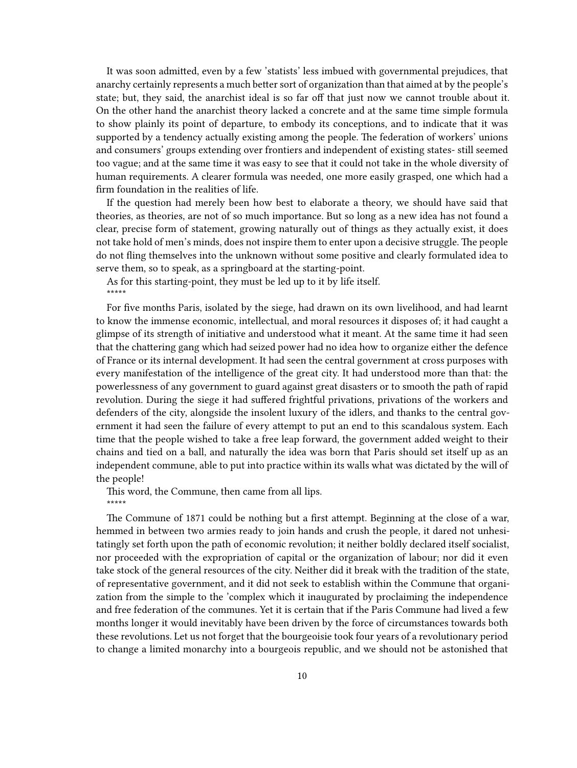It was soon admitted, even by a few 'statists' less imbued with governmental prejudices, that anarchy certainly represents a much better sort of organization than that aimed at by the people's state; but, they said, the anarchist ideal is so far off that just now we cannot trouble about it. On the other hand the anarchist theory lacked a concrete and at the same time simple formula to show plainly its point of departure, to embody its conceptions, and to indicate that it was supported by a tendency actually existing among the people. The federation of workers' unions and consumers' groups extending over frontiers and independent of existing states- still seemed too vague; and at the same time it was easy to see that it could not take in the whole diversity of human requirements. A clearer formula was needed, one more easily grasped, one which had a firm foundation in the realities of life.

If the question had merely been how best to elaborate a theory, we should have said that theories, as theories, are not of so much importance. But so long as a new idea has not found a clear, precise form of statement, growing naturally out of things as they actually exist, it does not take hold of men's minds, does not inspire them to enter upon a decisive struggle. The people do not fling themselves into the unknown without some positive and clearly formulated idea to serve them, so to speak, as a springboard at the starting-point.

As for this starting-point, they must be led up to it by life itself. \*\*\*\*\*

For five months Paris, isolated by the siege, had drawn on its own livelihood, and had learnt to know the immense economic, intellectual, and moral resources it disposes of; it had caught a glimpse of its strength of initiative and understood what it meant. At the same time it had seen that the chattering gang which had seized power had no idea how to organize either the defence of France or its internal development. It had seen the central government at cross purposes with every manifestation of the intelligence of the great city. It had understood more than that: the powerlessness of any government to guard against great disasters or to smooth the path of rapid revolution. During the siege it had suffered frightful privations, privations of the workers and defenders of the city, alongside the insolent luxury of the idlers, and thanks to the central government it had seen the failure of every attempt to put an end to this scandalous system. Each time that the people wished to take a free leap forward, the government added weight to their chains and tied on a ball, and naturally the idea was born that Paris should set itself up as an independent commune, able to put into practice within its walls what was dictated by the will of the people!

This word, the Commune, then came from all lips. \*\*\*\*\*

The Commune of 1871 could be nothing but a first attempt. Beginning at the close of a war, hemmed in between two armies ready to join hands and crush the people, it dared not unhesitatingly set forth upon the path of economic revolution; it neither boldly declared itself socialist, nor proceeded with the expropriation of capital or the organization of labour; nor did it even take stock of the general resources of the city. Neither did it break with the tradition of the state, of representative government, and it did not seek to establish within the Commune that organization from the simple to the 'complex which it inaugurated by proclaiming the independence and free federation of the communes. Yet it is certain that if the Paris Commune had lived a few months longer it would inevitably have been driven by the force of circumstances towards both these revolutions. Let us not forget that the bourgeoisie took four years of a revolutionary period to change a limited monarchy into a bourgeois republic, and we should not be astonished that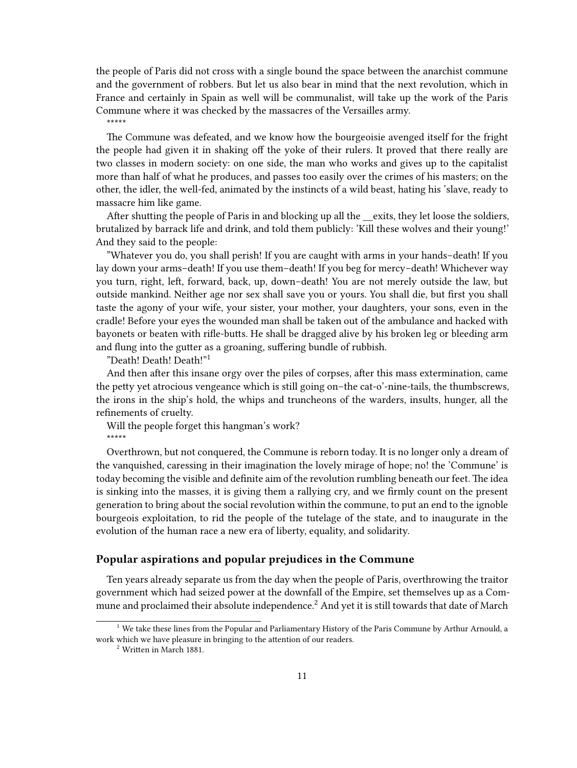the people of Paris did not cross with a single bound the space between the anarchist commune and the government of robbers. But let us also bear in mind that the next revolution, which in France and certainly in Spain as well will be communalist, will take up the work of the Paris Commune where it was checked by the massacres of the Versailles army. \*\*\*\*\*

The Commune was defeated, and we know how the bourgeoisie avenged itself for the fright the people had given it in shaking off the yoke of their rulers. It proved that there really are two classes in modern society: on one side, the man who works and gives up to the capitalist more than half of what he produces, and passes too easily over the crimes of his masters; on the other, the idler, the well-fed, animated by the instincts of a wild beast, hating his 'slave, ready to massacre him like game.

After shutting the people of Paris in and blocking up all the exits, they let loose the soldiers, brutalized by barrack life and drink, and told them publicly: 'Kill these wolves and their young!' And they said to the people:

"Whatever you do, you shall perish! If you are caught with arms in your hands–death! If you lay down your arms–death! If you use them–death! If you beg for mercy–death! Whichever way you turn, right, left, forward, back, up, down–death! You are not merely outside the law, but outside mankind. Neither age nor sex shall save you or yours. You shall die, but first you shall taste the agony of your wife, your sister, your mother, your daughters, your sons, even in the cradle! Before your eyes the wounded man shall be taken out of the ambulance and hacked with bayonets or beaten with rifle-butts. He shall be dragged alive by his broken leg or bleeding arm and flung into the gutter as a groaning, suffering bundle of rubbish.

"Death! Death! Death!"<sup>1</sup>

And then after this insane orgy over the piles of corpses, after this mass extermination, came the petty yet atrocious vengeance which is still going on–the cat-o'-nine-tails, the thumbscrews, the irons in the ship's hold, the whips and truncheons of the warders, insults, hunger, all the refinements of cruelty.

```
Will the people forget this hangman's work?
*****
```
Overthrown, but not conquered, the Commune is reborn today. It is no longer only a dream of the vanquished, caressing in their imagination the lovely mirage of hope; no! the 'Commune' is today becoming the visible and definite aim of the revolution rumbling beneath our feet. The idea is sinking into the masses, it is giving them a rallying cry, and we firmly count on the present generation to bring about the social revolution within the commune, to put an end to the ignoble bourgeois exploitation, to rid the people of the tutelage of the state, and to inaugurate in the evolution of the human race a new era of liberty, equality, and solidarity.

### <span id="page-10-0"></span>**Popular aspirations and popular prejudices in the Commune**

Ten years already separate us from the day when the people of Paris, overthrowing the traitor government which had seized power at the downfall of the Empire, set themselves up as a Commune and proclaimed their absolute independence.<sup>2</sup> And yet it is still towards that date of March

 $1$  We take these lines from the Popular and Parliamentary History of the Paris Commune by Arthur Arnould, a work which we have pleasure in bringing to the attention of our readers.

<sup>2</sup> Written in March 1881.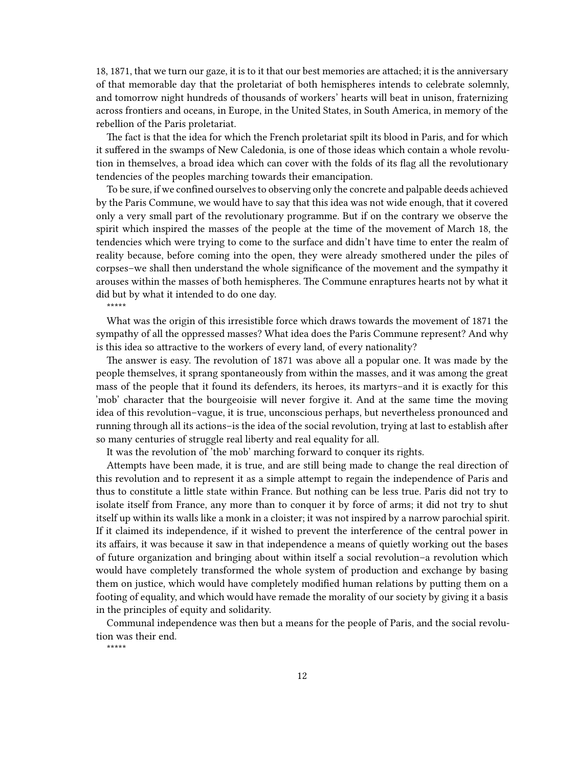18, 1871, that we turn our gaze, it is to it that our best memories are attached; it is the anniversary of that memorable day that the proletariat of both hemispheres intends to celebrate solemnly, and tomorrow night hundreds of thousands of workers' hearts will beat in unison, fraternizing across frontiers and oceans, in Europe, in the United States, in South America, in memory of the rebellion of the Paris proletariat.

The fact is that the idea for which the French proletariat spilt its blood in Paris, and for which it suffered in the swamps of New Caledonia, is one of those ideas which contain a whole revolution in themselves, a broad idea which can cover with the folds of its flag all the revolutionary tendencies of the peoples marching towards their emancipation.

To be sure, if we confined ourselves to observing only the concrete and palpable deeds achieved by the Paris Commune, we would have to say that this idea was not wide enough, that it covered only a very small part of the revolutionary programme. But if on the contrary we observe the spirit which inspired the masses of the people at the time of the movement of March 18, the tendencies which were trying to come to the surface and didn't have time to enter the realm of reality because, before coming into the open, they were already smothered under the piles of corpses–we shall then understand the whole significance of the movement and the sympathy it arouses within the masses of both hemispheres. The Commune enraptures hearts not by what it did but by what it intended to do one day.

\*\*\*\*\*

What was the origin of this irresistible force which draws towards the movement of 1871 the sympathy of all the oppressed masses? What idea does the Paris Commune represent? And why is this idea so attractive to the workers of every land, of every nationality?

The answer is easy. The revolution of 1871 was above all a popular one. It was made by the people themselves, it sprang spontaneously from within the masses, and it was among the great mass of the people that it found its defenders, its heroes, its martyrs–and it is exactly for this 'mob' character that the bourgeoisie will never forgive it. And at the same time the moving idea of this revolution–vague, it is true, unconscious perhaps, but nevertheless pronounced and running through all its actions–is the idea of the social revolution, trying at last to establish after so many centuries of struggle real liberty and real equality for all.

It was the revolution of 'the mob' marching forward to conquer its rights.

Attempts have been made, it is true, and are still being made to change the real direction of this revolution and to represent it as a simple attempt to regain the independence of Paris and thus to constitute a little state within France. But nothing can be less true. Paris did not try to isolate itself from France, any more than to conquer it by force of arms; it did not try to shut itself up within its walls like a monk in a cloister; it was not inspired by a narrow parochial spirit. If it claimed its independence, if it wished to prevent the interference of the central power in its affairs, it was because it saw in that independence a means of quietly working out the bases of future organization and bringing about within itself a social revolution–a revolution which would have completely transformed the whole system of production and exchange by basing them on justice, which would have completely modified human relations by putting them on a footing of equality, and which would have remade the morality of our society by giving it a basis in the principles of equity and solidarity.

Communal independence was then but a means for the people of Paris, and the social revolution was their end.

\*\*\*\*\*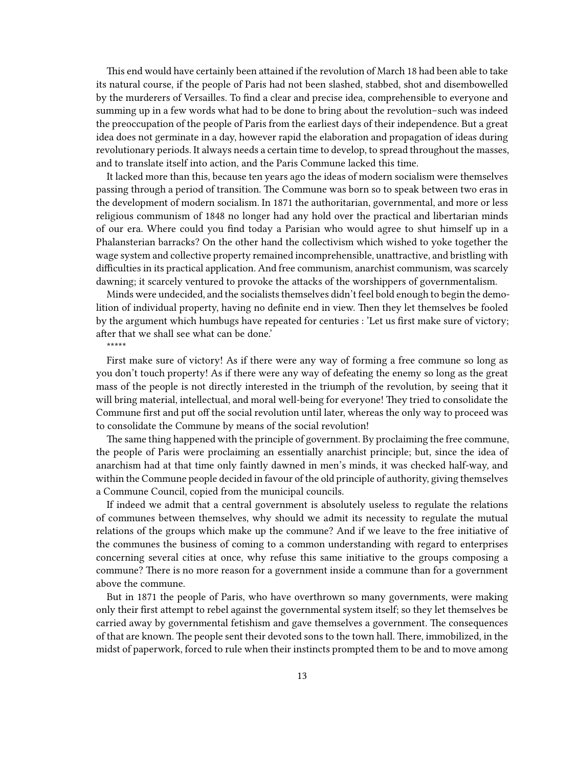This end would have certainly been attained if the revolution of March 18 had been able to take its natural course, if the people of Paris had not been slashed, stabbed, shot and disembowelled by the murderers of Versailles. To find a clear and precise idea, comprehensible to everyone and summing up in a few words what had to be done to bring about the revolution–such was indeed the preoccupation of the people of Paris from the earliest days of their independence. But a great idea does not germinate in a day, however rapid the elaboration and propagation of ideas during revolutionary periods. It always needs a certain time to develop, to spread throughout the masses, and to translate itself into action, and the Paris Commune lacked this time.

It lacked more than this, because ten years ago the ideas of modern socialism were themselves passing through a period of transition. The Commune was born so to speak between two eras in the development of modern socialism. In 1871 the authoritarian, governmental, and more or less religious communism of 1848 no longer had any hold over the practical and libertarian minds of our era. Where could you find today a Parisian who would agree to shut himself up in a Phalansterian barracks? On the other hand the collectivism which wished to yoke together the wage system and collective property remained incomprehensible, unattractive, and bristling with difficulties in its practical application. And free communism, anarchist communism, was scarcely dawning; it scarcely ventured to provoke the attacks of the worshippers of governmentalism.

Minds were undecided, and the socialists themselves didn't feel bold enough to begin the demolition of individual property, having no definite end in view. Then they let themselves be fooled by the argument which humbugs have repeated for centuries : 'Let us first make sure of victory; after that we shall see what can be done.'

#### \*\*\*\*\*

First make sure of victory! As if there were any way of forming a free commune so long as you don't touch property! As if there were any way of defeating the enemy so long as the great mass of the people is not directly interested in the triumph of the revolution, by seeing that it will bring material, intellectual, and moral well-being for everyone! They tried to consolidate the Commune first and put off the social revolution until later, whereas the only way to proceed was to consolidate the Commune by means of the social revolution!

The same thing happened with the principle of government. By proclaiming the free commune, the people of Paris were proclaiming an essentially anarchist principle; but, since the idea of anarchism had at that time only faintly dawned in men's minds, it was checked half-way, and within the Commune people decided in favour of the old principle of authority, giving themselves a Commune Council, copied from the municipal councils.

If indeed we admit that a central government is absolutely useless to regulate the relations of communes between themselves, why should we admit its necessity to regulate the mutual relations of the groups which make up the commune? And if we leave to the free initiative of the communes the business of coming to a common understanding with regard to enterprises concerning several cities at once, why refuse this same initiative to the groups composing a commune? There is no more reason for a government inside a commune than for a government above the commune.

But in 1871 the people of Paris, who have overthrown so many governments, were making only their first attempt to rebel against the governmental system itself; so they let themselves be carried away by governmental fetishism and gave themselves a government. The consequences of that are known. The people sent their devoted sons to the town hall. There, immobilized, in the midst of paperwork, forced to rule when their instincts prompted them to be and to move among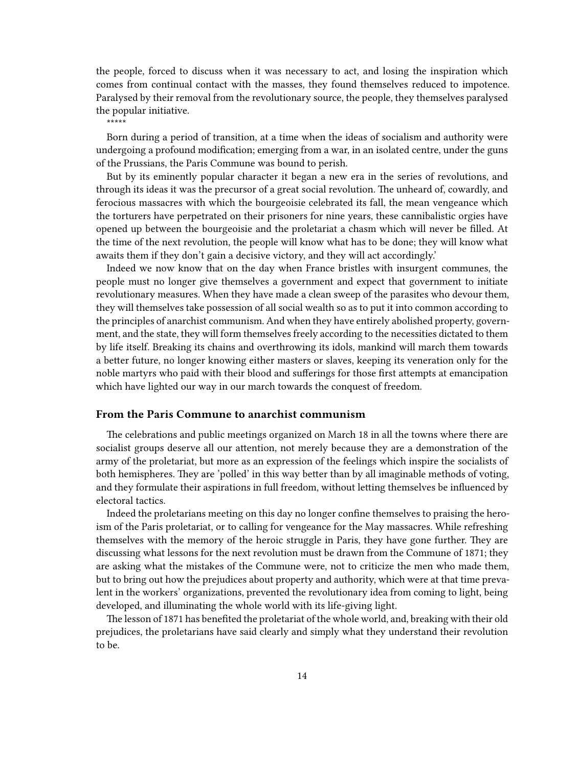the people, forced to discuss when it was necessary to act, and losing the inspiration which comes from continual contact with the masses, they found themselves reduced to impotence. Paralysed by their removal from the revolutionary source, the people, they themselves paralysed the popular initiative.

Born during a period of transition, at a time when the ideas of socialism and authority were undergoing a profound modification; emerging from a war, in an isolated centre, under the guns of the Prussians, the Paris Commune was bound to perish.

But by its eminently popular character it began a new era in the series of revolutions, and through its ideas it was the precursor of a great social revolution. The unheard of, cowardly, and ferocious massacres with which the bourgeoisie celebrated its fall, the mean vengeance which the torturers have perpetrated on their prisoners for nine years, these cannibalistic orgies have opened up between the bourgeoisie and the proletariat a chasm which will never be filled. At the time of the next revolution, the people will know what has to be done; they will know what awaits them if they don't gain a decisive victory, and they will act accordingly.'

Indeed we now know that on the day when France bristles with insurgent communes, the people must no longer give themselves a government and expect that government to initiate revolutionary measures. When they have made a clean sweep of the parasites who devour them, they will themselves take possession of all social wealth so as to put it into common according to the principles of anarchist communism. And when they have entirely abolished property, government, and the state, they will form themselves freely according to the necessities dictated to them by life itself. Breaking its chains and overthrowing its idols, mankind will march them towards a better future, no longer knowing either masters or slaves, keeping its veneration only for the noble martyrs who paid with their blood and sufferings for those first attempts at emancipation which have lighted our way in our march towards the conquest of freedom.

#### <span id="page-13-0"></span>**From the Paris Commune to anarchist communism**

\*\*\*\*\*

The celebrations and public meetings organized on March 18 in all the towns where there are socialist groups deserve all our attention, not merely because they are a demonstration of the army of the proletariat, but more as an expression of the feelings which inspire the socialists of both hemispheres. They are 'polled' in this way better than by all imaginable methods of voting, and they formulate their aspirations in full freedom, without letting themselves be influenced by electoral tactics.

Indeed the proletarians meeting on this day no longer confine themselves to praising the heroism of the Paris proletariat, or to calling for vengeance for the May massacres. While refreshing themselves with the memory of the heroic struggle in Paris, they have gone further. They are discussing what lessons for the next revolution must be drawn from the Commune of 1871; they are asking what the mistakes of the Commune were, not to criticize the men who made them, but to bring out how the prejudices about property and authority, which were at that time prevalent in the workers' organizations, prevented the revolutionary idea from coming to light, being developed, and illuminating the whole world with its life-giving light.

The lesson of 1871 has benefited the proletariat of the whole world, and, breaking with their old prejudices, the proletarians have said clearly and simply what they understand their revolution to be.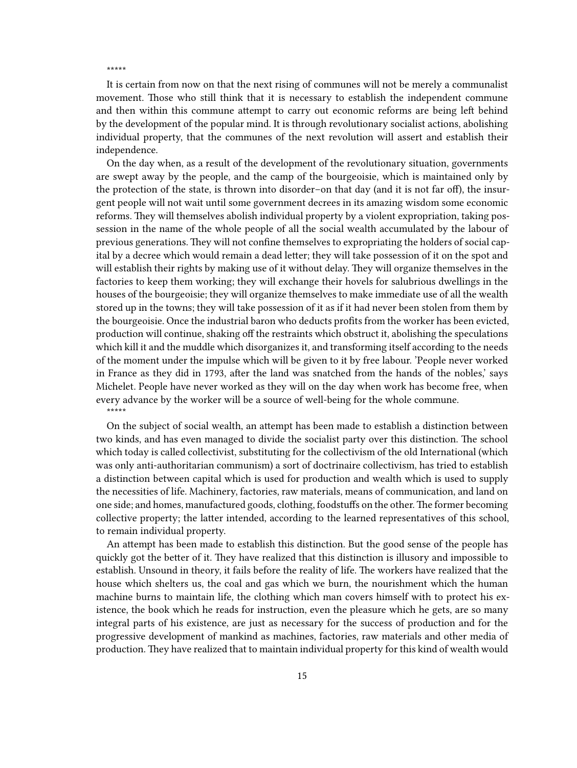\*\*\*\*\*

It is certain from now on that the next rising of communes will not be merely a communalist movement. Those who still think that it is necessary to establish the independent commune and then within this commune attempt to carry out economic reforms are being left behind by the development of the popular mind. It is through revolutionary socialist actions, abolishing individual property, that the communes of the next revolution will assert and establish their independence.

On the day when, as a result of the development of the revolutionary situation, governments are swept away by the people, and the camp of the bourgeoisie, which is maintained only by the protection of the state, is thrown into disorder–on that day (and it is not far off), the insurgent people will not wait until some government decrees in its amazing wisdom some economic reforms. They will themselves abolish individual property by a violent expropriation, taking possession in the name of the whole people of all the social wealth accumulated by the labour of previous generations. They will not confine themselves to expropriating the holders of social capital by a decree which would remain a dead letter; they will take possession of it on the spot and will establish their rights by making use of it without delay. They will organize themselves in the factories to keep them working; they will exchange their hovels for salubrious dwellings in the houses of the bourgeoisie; they will organize themselves to make immediate use of all the wealth stored up in the towns; they will take possession of it as if it had never been stolen from them by the bourgeoisie. Once the industrial baron who deducts profits from the worker has been evicted, production will continue, shaking off the restraints which obstruct it, abolishing the speculations which kill it and the muddle which disorganizes it, and transforming itself according to the needs of the moment under the impulse which will be given to it by free labour. 'People never worked in France as they did in 1793, after the land was snatched from the hands of the nobles,' says Michelet. People have never worked as they will on the day when work has become free, when every advance by the worker will be a source of well-being for the whole commune. \*\*\*\*\*

On the subject of social wealth, an attempt has been made to establish a distinction between two kinds, and has even managed to divide the socialist party over this distinction. The school which today is called collectivist, substituting for the collectivism of the old International (which was only anti-authoritarian communism) a sort of doctrinaire collectivism, has tried to establish a distinction between capital which is used for production and wealth which is used to supply the necessities of life. Machinery, factories, raw materials, means of communication, and land on one side; and homes, manufactured goods, clothing, foodstuffs on the other. The former becoming collective property; the latter intended, according to the learned representatives of this school, to remain individual property.

An attempt has been made to establish this distinction. But the good sense of the people has quickly got the better of it. They have realized that this distinction is illusory and impossible to establish. Unsound in theory, it fails before the reality of life. The workers have realized that the house which shelters us, the coal and gas which we burn, the nourishment which the human machine burns to maintain life, the clothing which man covers himself with to protect his existence, the book which he reads for instruction, even the pleasure which he gets, are so many integral parts of his existence, are just as necessary for the success of production and for the progressive development of mankind as machines, factories, raw materials and other media of production. They have realized that to maintain individual property for this kind of wealth would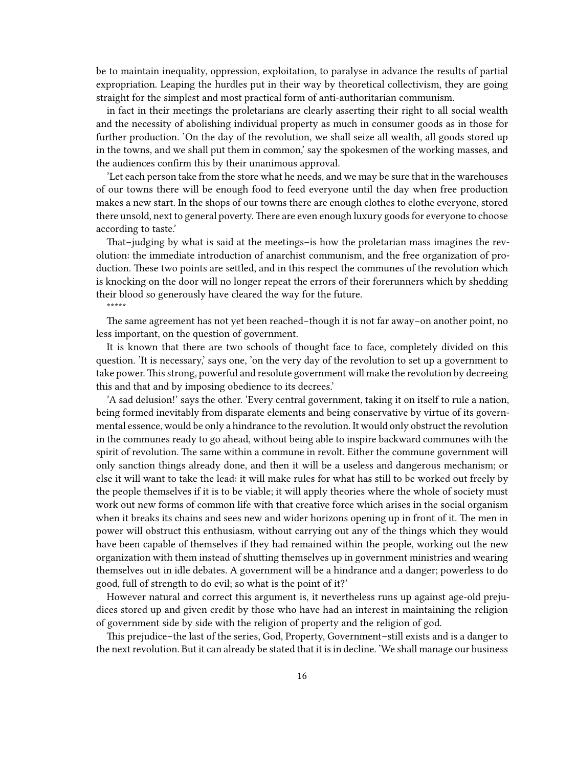be to maintain inequality, oppression, exploitation, to paralyse in advance the results of partial expropriation. Leaping the hurdles put in their way by theoretical collectivism, they are going straight for the simplest and most practical form of anti-authoritarian communism.

in fact in their meetings the proletarians are clearly asserting their right to all social wealth and the necessity of abolishing individual property as much in consumer goods as in those for further production. 'On the day of the revolution, we shall seize all wealth, all goods stored up in the towns, and we shall put them in common,' say the spokesmen of the working masses, and the audiences confirm this by their unanimous approval.

'Let each person take from the store what he needs, and we may be sure that in the warehouses of our towns there will be enough food to feed everyone until the day when free production makes a new start. In the shops of our towns there are enough clothes to clothe everyone, stored there unsold, next to general poverty. There are even enough luxury goods for everyone to choose according to taste.'

That–judging by what is said at the meetings–is how the proletarian mass imagines the revolution: the immediate introduction of anarchist communism, and the free organization of production. These two points are settled, and in this respect the communes of the revolution which is knocking on the door will no longer repeat the errors of their forerunners which by shedding their blood so generously have cleared the way for the future.

\*\*\*\*\*

The same agreement has not yet been reached–though it is not far away–on another point, no less important, on the question of government.

It is known that there are two schools of thought face to face, completely divided on this question. 'It is necessary,' says one, 'on the very day of the revolution to set up a government to take power. This strong, powerful and resolute government will make the revolution by decreeing this and that and by imposing obedience to its decrees.'

'A sad delusion!' says the other. 'Every central government, taking it on itself to rule a nation, being formed inevitably from disparate elements and being conservative by virtue of its governmental essence, would be only a hindrance to the revolution. It would only obstruct the revolution in the communes ready to go ahead, without being able to inspire backward communes with the spirit of revolution. The same within a commune in revolt. Either the commune government will only sanction things already done, and then it will be a useless and dangerous mechanism; or else it will want to take the lead: it will make rules for what has still to be worked out freely by the people themselves if it is to be viable; it will apply theories where the whole of society must work out new forms of common life with that creative force which arises in the social organism when it breaks its chains and sees new and wider horizons opening up in front of it. The men in power will obstruct this enthusiasm, without carrying out any of the things which they would have been capable of themselves if they had remained within the people, working out the new organization with them instead of shutting themselves up in government ministries and wearing themselves out in idle debates. A government will be a hindrance and a danger; powerless to do good, full of strength to do evil; so what is the point of it?'

However natural and correct this argument is, it nevertheless runs up against age-old prejudices stored up and given credit by those who have had an interest in maintaining the religion of government side by side with the religion of property and the religion of god.

This prejudice–the last of the series, God, Property, Government–still exists and is a danger to the next revolution. But it can already be stated that it is in decline. 'We shall manage our business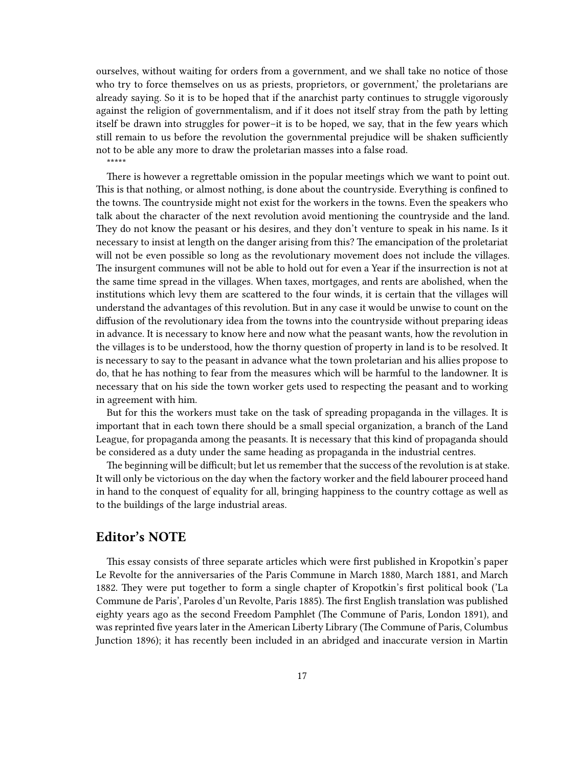ourselves, without waiting for orders from a government, and we shall take no notice of those who try to force themselves on us as priests, proprietors, or government,' the proletarians are already saying. So it is to be hoped that if the anarchist party continues to struggle vigorously against the religion of governmentalism, and if it does not itself stray from the path by letting itself be drawn into struggles for power–it is to be hoped, we say, that in the few years which still remain to us before the revolution the governmental prejudice will be shaken sufficiently not to be able any more to draw the proletarian masses into a false road. \*\*\*\*\*

There is however a regrettable omission in the popular meetings which we want to point out. This is that nothing, or almost nothing, is done about the countryside. Everything is confined to the towns. The countryside might not exist for the workers in the towns. Even the speakers who talk about the character of the next revolution avoid mentioning the countryside and the land. They do not know the peasant or his desires, and they don't venture to speak in his name. Is it necessary to insist at length on the danger arising from this? The emancipation of the proletariat will not be even possible so long as the revolutionary movement does not include the villages. The insurgent communes will not be able to hold out for even a Year if the insurrection is not at the same time spread in the villages. When taxes, mortgages, and rents are abolished, when the institutions which levy them are scattered to the four winds, it is certain that the villages will understand the advantages of this revolution. But in any case it would be unwise to count on the diffusion of the revolutionary idea from the towns into the countryside without preparing ideas in advance. It is necessary to know here and now what the peasant wants, how the revolution in the villages is to be understood, how the thorny question of property in land is to be resolved. It is necessary to say to the peasant in advance what the town proletarian and his allies propose to do, that he has nothing to fear from the measures which will be harmful to the landowner. It is necessary that on his side the town worker gets used to respecting the peasant and to working in agreement with him.

But for this the workers must take on the task of spreading propaganda in the villages. It is important that in each town there should be a small special organization, a branch of the Land League, for propaganda among the peasants. It is necessary that this kind of propaganda should be considered as a duty under the same heading as propaganda in the industrial centres.

The beginning will be difficult; but let us remember that the success of the revolution is at stake. It will only be victorious on the day when the factory worker and the field labourer proceed hand in hand to the conquest of equality for all, bringing happiness to the country cottage as well as to the buildings of the large industrial areas.

## <span id="page-16-0"></span>**Editor's NOTE**

This essay consists of three separate articles which were first published in Kropotkin's paper Le Revolte for the anniversaries of the Paris Commune in March 1880, March 1881, and March 1882. They were put together to form a single chapter of Kropotkin's first political book ('La Commune de Paris', Paroles d'un Revolte, Paris 1885). The first English translation was published eighty years ago as the second Freedom Pamphlet (The Commune of Paris, London 1891), and was reprinted five years later in the American Liberty Library (The Commune of Paris, Columbus Junction 1896); it has recently been included in an abridged and inaccurate version in Martin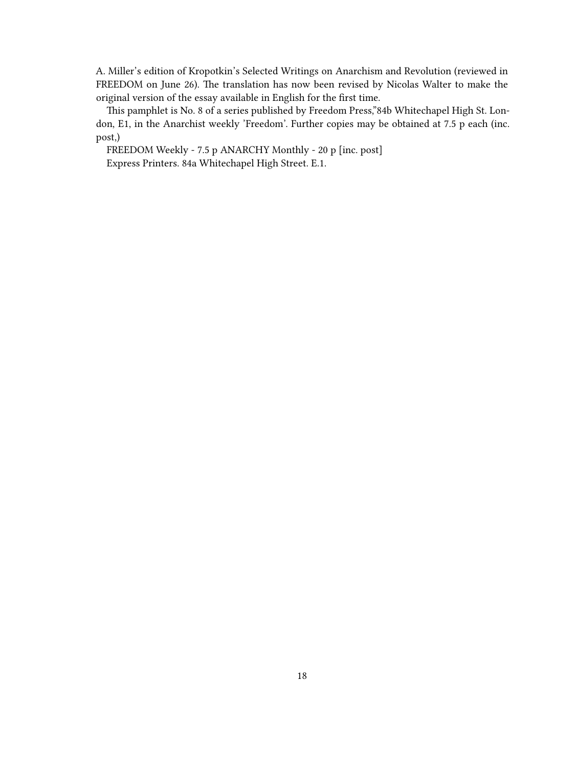A. Miller's edition of Kropotkin's Selected Writings on Anarchism and Revolution (reviewed in FREEDOM on June 26). The translation has now been revised by Nicolas Walter to make the original version of the essay available in English for the first time.

This pamphlet is No. 8 of a series published by Freedom Press,"84b Whitechapel High St. London, E1, in the Anarchist weekly 'Freedom'. Further copies may be obtained at 7.5 p each (inc. post,)

FREEDOM Weekly - 7.5 p ANARCHY Monthly - 20 p [inc. post] Express Printers. 84a Whitechapel High Street. E.1.